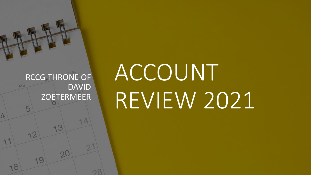

١3

 $2C$ 

١Q

18

19

# ACCOUNT REVIEW 2021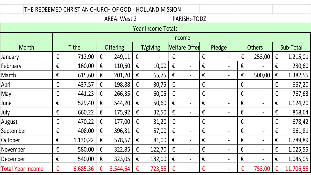| THE REDEEMED CHRISTIAN CHURCH OF GOD - HOLLAND MISSION |                  |              |              |                   |              |                   |                      |                              |                         |             |                                             |               |                                             |           |  |
|--------------------------------------------------------|------------------|--------------|--------------|-------------------|--------------|-------------------|----------------------|------------------------------|-------------------------|-------------|---------------------------------------------|---------------|---------------------------------------------|-----------|--|
|                                                        |                  |              | PARISH:-TODZ |                   |              |                   |                      |                              |                         |             |                                             |               |                                             |           |  |
|                                                        |                  |              |              |                   |              |                   |                      |                              |                         |             |                                             |               |                                             |           |  |
|                                                        |                  |              |              |                   |              |                   |                      |                              |                         |             |                                             |               |                                             |           |  |
| Month                                                  |                  | <b>Tithe</b> |              | Offering          |              | T/giving          | <b>Nelfare Offer</b> |                              |                         | Pledge      |                                             | <b>Others</b> | Sub-Total                                   |           |  |
| January                                                | $\mathbf{f}$     | 712,90       | €            | 249,11            | $\epsilon$   |                   | €                    |                              | $\mathbf{f}$            |             | $\mathbf{f}$                                | 253,00        | €                                           | 1.215,01  |  |
| February                                               | $\epsilon$       | 160,00       | $\mathbf{f}$ | 110,60            | $\mathbf{f}$ | 10,00             | $\mathbf{f}$         | $\qquad \qquad \blacksquare$ | $\mathbf{f}$            |             | $\epsilon$                                  |               | $\mathbf{f}$                                | 280,60    |  |
| March                                                  | $\epsilon$       | 615,60       | €            | 201,20            | $\epsilon$   | 65,75             | $\mathbf{f}$         | $\qquad \qquad \blacksquare$ | $\epsilon$              |             | $\epsilon$                                  | 500,00        | $\boldsymbol{\mathop{\mathsf{E}}\nolimits}$ | 1.382,55  |  |
| April                                                  | $\epsilon$       | 437,57       | $\epsilon$   | 198,88            | $\epsilon$   | 30,75             | $\epsilon$           | $\qquad \qquad \blacksquare$ | $\boldsymbol{\epsilon}$ |             | $\boldsymbol{\mathop{\mathsf{E}}\nolimits}$ |               | $\mathbf{f}$                                | 667,20    |  |
| May                                                    | $\epsilon$       | 441,23       | €            | 266,35            | $\mathbf{f}$ | 60,05             | $\mathbf{f}$         | $\qquad \qquad \blacksquare$ | $\mathbf{f}$            |             | $\mathbf{f}$                                |               | $\mathbf{f}$                                | 767,63    |  |
| June                                                   | $\epsilon$       | 529,40       | €            | 544,20            | $\epsilon$   | 50,60             | $\epsilon$           | $\overline{\phantom{0}}$     | $\mathbf{f}$            |             | $\mathbf{f}$                                |               | $\boldsymbol{\epsilon}$                     | 1.124,20  |  |
| July                                                   | $\epsilon$       | 660,22       | $\mathbf{f}$ | 175,92            | $\epsilon$   | 32,50             | $\mathbf{f}$         | $\qquad \qquad -$            | $\mathbf{f}$            |             | $\epsilon$                                  |               | $\mathbf{f}$                                | 868,64    |  |
| August                                                 | $\epsilon$       | 470,22       | €            | 177,00            | $\mathbf{f}$ | 31,20             | $\mathbf{f}$         | $\blacksquare$               | $\boldsymbol{\epsilon}$ |             | $\epsilon$                                  |               | $\mathbf{f}$                                | 678,42    |  |
| September                                              | $\epsilon$       | 408,00       | €            | 396,81            | $\mathbf{f}$ | 57,00             | $\mathbf{f}$         | $\qquad \qquad \blacksquare$ | $\mathbf{f}$            |             | $\epsilon$                                  |               | $\mathbf{f}$                                | 861,81    |  |
| October                                                | $\epsilon$       | 1.130,22     | $\mathbf{f}$ | 578,67            | $\mathbf{f}$ | 81,00             | $\epsilon$           | $\qquad \qquad \blacksquare$ | $\mathbf{f}$            |             | $\mathbf{f}$                                |               | $\mathbf{f}$                                | 1.789,89  |  |
| November                                               | $\pmb{\epsilon}$ | 580,00 €     |              | 322,85 $\epsilon$ |              | 122,70            | $\epsilon$           |                              | $\epsilon$              |             | $\pmb{\epsilon}$                            |               | $\epsilon$                                  | 1.025,55  |  |
| December                                               | €                | 540,00       | €            | 323,05            | $\epsilon$   | 182,00            | $\epsilon$           | $\blacksquare$               | €                       | $\hbox{--}$ | €                                           |               | €                                           | 1.045,05  |  |
| Total Year Income                                      | €                | 6.685,36     | €            | $3.544,64 \in$    |              | 723,55 $\epsilon$ |                      |                              | $\mathbf{f}$            |             | $\boldsymbol{\epsilon}$                     | 753,00        | $\epsilon$                                  | 11.706,55 |  |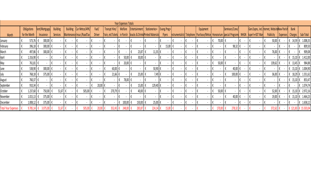| Year Expenses Totals       |  |               |               |        |                 |  |                                            |  |                            |  |               |  |                                 |                                                              |  |               |  |                    |               |                |                           |        |                                            |       |                                              |                |                          |                      |  |           |                |                             |             |
|----------------------------|--|---------------|---------------|--------|-----------------|--|--------------------------------------------|--|----------------------------|--|---------------|--|---------------------------------|--------------------------------------------------------------|--|---------------|--|--------------------|---------------|----------------|---------------------------|--------|--------------------------------------------|-------|----------------------------------------------|----------------|--------------------------|----------------------|--|-----------|----------------|-----------------------------|-------------|
|                            |  | Obligations   | Rent/Mortgage |        | <b>Building</b> |  | <b>Building</b><br>Car Mntce/APK/<br>Fuel/ |  | Transpt Hire/              |  | Welfare       |  | Entertainment:<br>Stationeries+ |                                                              |  | Evang.Prog+   |  | Equipment          |               | Seminars/Conv/ |                           |        |                                            |       | Gen. Expns, incl. hternet, WebsiteNew Parish |                |                          | <b>Bank</b>          |  |           |                |                             |             |
| Month                      |  | for the Month | Insurance     |        | Services        |  |                                            |  | Maintenance Insur./RoadTax |  | <b>Driver</b> |  |                                 | Train, etcTickets in Parish Snacks & DrinksPrinted Materials |  |               |  |                    | <b>Flyers</b> |                | nstrumentalist: Telephone |        | Purchase/Mntce Honorarium Special Programs |       |                                              |                |                          | NHGN Asper'n+SST Man |  | Publicity |                | Expenses Charges            | Sub-Total   |
| January                    |  | 573,76        |               | 300,00 |                 |  |                                            |  |                            |  |               |  |                                 |                                                              |  |               |  | $\blacksquare$     |               |                |                           | $\sim$ |                                            |       | 70,00 €                                      |                | $\sim$                   |                      |  | 50,00     |                | $\epsilon$ 14,59 $\epsilon$ | 1.008,35    |
| February                   |  | 396,18        |               | 300,00 |                 |  |                                            |  |                            |  |               |  |                                 |                                                              |  |               |  | $\sim$             | 15,00         |                |                           |        |                                            |       |                                              | 98,32          |                          |                      |  | $\sim$    |                |                             | 809,50      |
| March                      |  | 497,86        |               | 300,00 |                 |  |                                            |  |                            |  |               |  | $\blacksquare$                  |                                                              |  | $23,87$ €     |  | $11,35$ $\epsilon$ |               |                |                           |        |                                            |       |                                              | $\sim$         | $\overline{\phantom{a}}$ |                      |  | 76,00     |                |                             | 909,08      |
| April                      |  | 1.316,90 €    |               |        |                 |  |                                            |  |                            |  |               |  |                                 | 50,00 €                                                      |  | $30,00$ $\xi$ |  | $\blacksquare$     |               |                | $\sim$                    | $\sim$ |                                            |       |                                              | $\sim$         | $\overline{\phantom{a}}$ |                      |  |           | $\sim$         | $15,10$ €                   | 1.412,00    |
| May                        |  | 761,81        |               |        |                 |  |                                            |  |                            |  |               |  |                                 | 20,00 €                                                      |  |               |  | $\blacksquare$     |               |                |                           |        |                                            | 50,00 |                                              |                |                          |                      |  | 139,62    |                | $13,45$ $\epsilon$          | 984,88      |
| June                       |  | 538,90        |               | 300,00 |                 |  |                                            |  |                            |  |               |  | $60,00$ $\epsilon$              |                                                              |  |               |  | 50,90 €            |               |                |                           |        |                                            |       |                                              | 40,00          |                          |                      |  |           |                |                             | 1.004,90    |
|                            |  | 768,18        |               | 375,00 |                 |  |                                            |  |                            |  |               |  | $21,66$ €                       |                                                              |  | $25,00$ $\xi$ |  | $7,49$ €           |               |                | $\sim$                    | $\sim$ |                                            |       |                                              | 100,00 €       |                          |                      |  | 36,00     |                | 18,29 €                     | 1.351,62    |
| August                     |  | 760,37        |               |        |                 |  |                                            |  |                            |  |               |  |                                 | 78,00 €                                                      |  |               |  | $\sim$             |               |                |                           |        |                                            |       |                                              | $\sim$         |                          |                      |  |           |                | $15,10$ €                   | 853,47      |
| September                  |  | 910,34        |               |        |                 |  |                                            |  |                            |  | $20,00$ $6$   |  | $\sim$                          |                                                              |  | 15,00 €       |  | 129,40 €           |               |                |                           |        |                                            |       |                                              |                | $\overline{\phantom{a}}$ |                      |  |           | $\sim$         |                             | 1.074,74    |
| October                    |  | 1.237,60      |               | 750,00 | 51,67 €         |  |                                            |  | 505,00 €                   |  |               |  | 270,79 €                        |                                                              |  | 40,00 $\xi$   |  | $\sim$             |               |                | $\sim$                    | $\sim$ |                                            |       | 50,00 $\epsilon$                             | $\sim$         | $\overline{\phantom{a}}$ | $\blacksquare$       |  | 52,00     |                | $15,10$ $\epsilon$          | 2.972,16    |
| November                   |  | 1.015,13      |               | 375,00 |                 |  |                                            |  |                            |  |               |  |                                 |                                                              |  |               |  | $\sim$             |               |                |                           |        |                                            |       |                                              | 40,00          |                          |                      |  | 19,00     |                |                             | 1.464,23    |
| December                   |  | 1.008,12      |               | 375,00 | $\sim$          |  |                                            |  |                            |  |               |  | $\sim$                          | 100,00 $\epsilon$                                            |  | 150,00 €      |  | $25,00$ €          | $\sim$        |                | $\sim$                    | $\sim$ | $\blacksquare$                             |       |                                              | $\blacksquare$ | $\sim$                   | $\blacksquare$       |  | $\sim$    | $\blacksquare$ |                             | 1.658,12    |
| <b>Total Year Expenses</b> |  | 9.785,14      |               |        |                 |  |                                            |  | 505,0                      |  |               |  |                                 | 248,00                                                       |  | 283,8         |  | 224,14             | 15,00         |                |                           |        |                                            |       |                                              | 278,32         |                          |                      |  | 3726      |                | € 121                       | € 15.503,04 |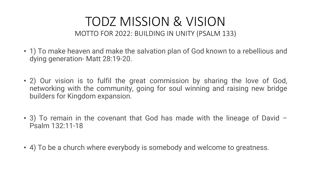#### TODZ MISSION & VISION MOTTO FOR 2022: BUILDING IN UNITY (PSALM 133)

- 1) To make heaven and make the salvation plan of God known to a rebellious and dying generation- Matt 28:19-20.
- 2) Our vision is to fulfil the great commission by sharing the love of God, networking with the community, going for soul winning and raising new bridge builders for Kingdom expansion.
- 3) To remain in the covenant that God has made with the lineage of David Psalm 132:11-18
- 4) To be a church where everybody is somebody and welcome to greatness.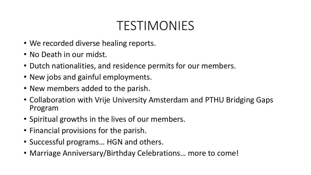### TESTIMONIES

- We recorded diverse healing reports.
- No Death in our midst.
- Dutch nationalities, and residence permits for our members.
- New jobs and gainful employments.
- New members added to the parish.
- Collaboration with Vrije University Amsterdam and PTHU Bridging Gaps Program
- Spiritual growths in the lives of our members.
- Financial provisions for the parish.
- Successful programs… HGN and others.
- Marriage Anniversary/Birthday Celebrations… more to come!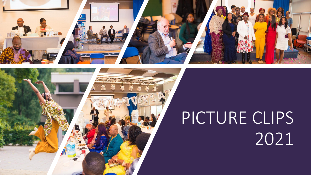

# PICTURE CLIPS 2021

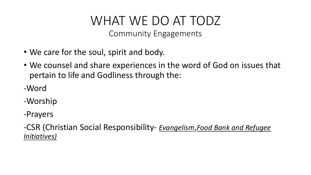### WHAT WE DO AT TODZ

Community Engagements

- We care for the soul, spirit and body.
- We counsel and share experiences in the word of God on issues that pertain to life and Godliness through the:
- -Word
- -Worship
- -Prayers

-CSR (Christian Social Responsibility- *Evangelism*,*Food Bank and Refugee Initiatives)*